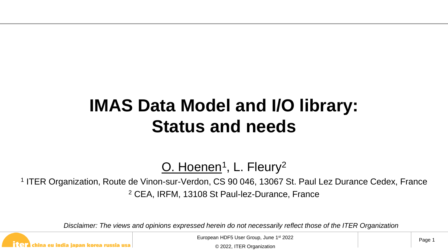#### **IMAS Data Model and I/O library: Status and needs**

<u>O. Hoenen</u>1, L. Fleury<sup>2</sup>

<sup>1</sup> ITER Organization, Route de Vinon-sur-Verdon, CS 90 046, 13067 St. Paul Lez Durance Cedex, France <sup>2</sup> CEA, IRFM, 13108 St Paul-lez-Durance, France

*Disclaimer: The views and opinions expressed herein do not necessarily reflect those of the ITER Organization*

china eu india japan korea russia usa

European HDF5 User Group, June 1st 2022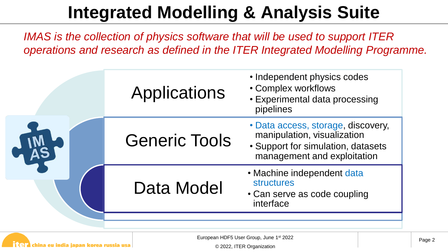## **Integrated Modelling & Analysis Suite**

*IMAS is the collection of physics software that will be used to support ITER operations and research as defined in the ITER Integrated Modelling Programme.*

| Applications         | • Independent physics codes<br>• Complex workflows<br>• Experimental data processing<br>pipelines                                      |  |  |  |
|----------------------|----------------------------------------------------------------------------------------------------------------------------------------|--|--|--|
| <b>Generic Tools</b> | • Data access, storage, discovery,<br>manipulation, visualization<br>• Support for simulation, datasets<br>management and exploitation |  |  |  |
| Data Model           | • Machine independent data<br><b>structures</b><br>• Can serve as code coupling<br>interface                                           |  |  |  |
|                      |                                                                                                                                        |  |  |  |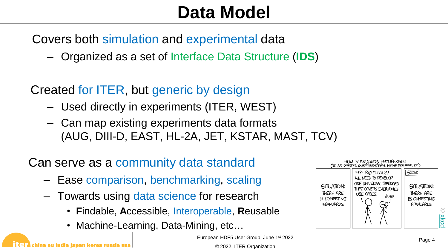#### **Data Model**

Covers both simulation and experimental data

– Organized as a set of Interface Data Structure (**IDS**)

Created for ITER, but generic by design

- Used directly in experiments (ITER, WEST)
- Can map existing experiments data formats (AUG, DIII-D, EAST, HL-2A, JET, KSTAR, MAST, TCV)

Can serve as a community data standard

- Ease comparison, benchmarking, scaling
- Towards using data science for research
	- **F**indable, **A**ccessible, **I**nteroperable, **R**eusable
	- Machine-Learning, Data-Mining, etc…



European HDF5 User Group, June 1st 2022

china eu india japan korea russia usa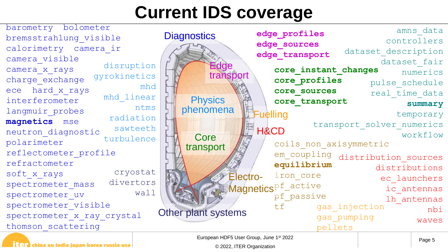### **Current IDS coverage**

cryostat divertors wall disruption gyrokinetics mhd mhd\_linear ntms radiation sawteeth turbulence barometry bolometer bremsstrahlung\_visible calorimetry camera\_ir camera\_visible camera\_x\_rays charge\_exchange ece hard\_x\_rays interferometer langmuir\_probes **magnetics** mse neutron\_diagnostic polarimeter reflectometer\_profile refractometer soft\_x\_rays spectrometer mass spectrometer\_uv spectrometer visible spectrometer x ray crystal thomson\_scattering



| [역기 china eu india japan korea russia usa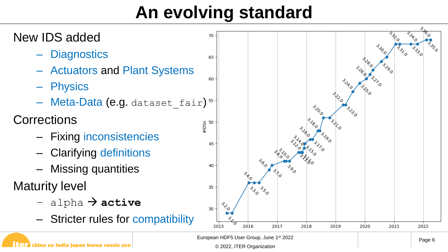## **An evolving standard**



china eu india japan korea russia usa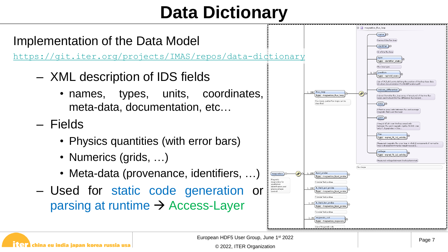## **Data Dictionary**



European HDF5 User Group, June 1st 2022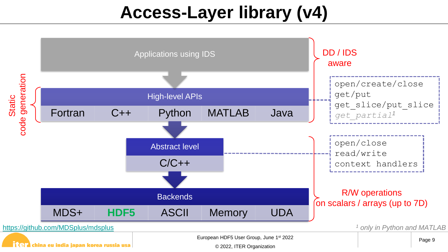## **Access-Layer library (v4)**

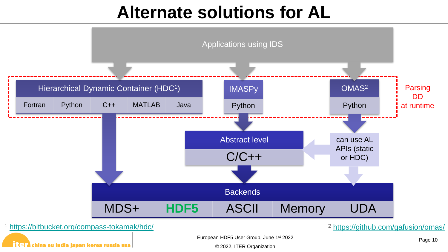#### **Alternate solutions for AL**

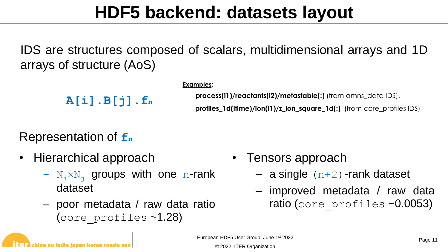#### **HDF5 backend: datasets layout**

IDS are structures composed of scalars, multidimensional arrays and 1D arrays of structure (AoS)

```
A[i].B[j].fn
```
#### **Examples:**

**process(i1)/reactants(i2)/metastable(:)** (from amns\_data IDS).

**profiles 1d(itime)/ion(i1)/z ion square 1d(:)** (from core profiles IDS)

#### Representation of **f<sup>n</sup>**

- Hierarchical approach
	- $N_i \times N_j$  groups with one n-rank dataset
	- poor metadata / raw data ratio (core\_profiles ~1.28)
- Tensors approach
	- $-$  a single  $(n+2)$ -rank dataset
	- improved metadata / raw data ratio (core profiles ~0.0053)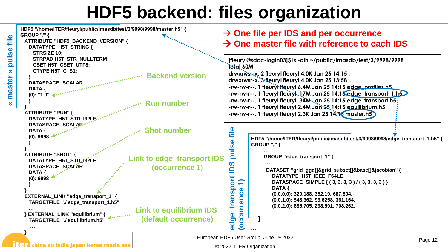#### **HDF5 backend: files organization**



#### $\prod$   $\Box$  china eu india japan korea russia usa

**«**

**master » pulse file**

 $\approx$ 

master

file

pulse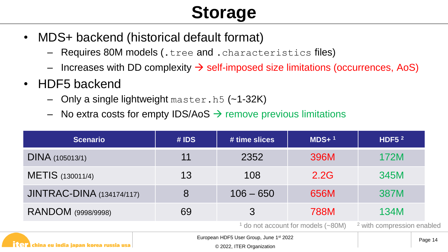# **Storage**

- MDS+ backend (historical default format)
	- Requires 80M models (.tree and .characteristics files)
	- Increases with DD complexity  $\rightarrow$  self-imposed size limitations (occurrences, AoS)
- HDF5 backend
	- Only a single lightweight master.h5 (~1-32K)
	- No extra costs for empty IDS/AoS  $\rightarrow$  remove previous limitations

| <b>Scenario</b>                                                  | # <b>IDS</b>                                                         | $\frac{1}{4}$ time slices | $MDS+$ <sup>1</sup> | HDF5 $2$ |  |
|------------------------------------------------------------------|----------------------------------------------------------------------|---------------------------|---------------------|----------|--|
| DINA (105013/1)                                                  | 11                                                                   | 2352                      | 396M                | 172M     |  |
| METIS (130011/4)                                                 | 13                                                                   | 108                       | 345M                |          |  |
| <b>JINTRAC-DINA</b> (134174/117)                                 | 8                                                                    | $106 - 650$               |                     | 387M     |  |
| RANDOM (9998/9998)                                               | 69                                                                   |                           | <b>788M</b>         | 134M     |  |
|                                                                  | <sup>2</sup> with compression enabled                                |                           |                     |          |  |
| $\mathbf{T}$ a china eu india japan korea russia usa $\parallel$ | European HDF5 User Group, June 1st 2022<br>© 2022, ITER Organization | Page 14                   |                     |          |  |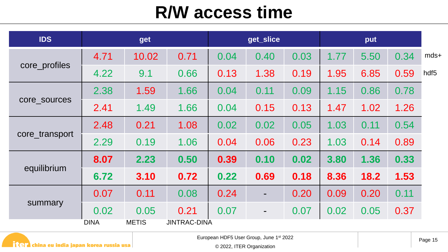#### **R/W access time**

| <b>IDS</b>     |             | get          |                     |      | get_slice |      |      | put  |      |                  |
|----------------|-------------|--------------|---------------------|------|-----------|------|------|------|------|------------------|
| core_profiles  | 4.71        | 10.02        | 0.71                | 0.04 | 0.40      | 0.03 | 1.77 | 5.50 | 0.34 | $mds+$           |
|                | 4.22        | 9.1          | 0.66                | 0.13 | 1.38      | 0.19 | 1.95 | 6.85 | 0.59 | hdf <sub>5</sub> |
| core_sources   | 2.38        | 1.59         | 1.66                | 0.04 | 0.11      | 0.09 | 1.15 | 0.86 | 0.78 |                  |
|                | 2.41        | 1.49         | 1.66                | 0.04 | 0.15      | 0.13 | 1.47 | 1.02 | 1.26 |                  |
| core_transport | 2.48        | 0.21         | 1.08                | 0.02 | 0.02      | 0.05 | 1.03 | 0.11 | 0.54 |                  |
|                | 2.29        | 0.19         | 1.06                | 0.04 | 0.06      | 0.23 | 1.03 | 0.14 | 0.89 |                  |
| equilibrium    | 8.07        | 2.23         | 0.50                | 0.39 | 0.10      | 0.02 | 3.80 | 1.36 | 0.33 |                  |
|                | 6.72        | 3.10         | 0.72                | 0.22 | 0.69      | 0.18 | 8.36 | 18.2 | 1.53 |                  |
| summary        | 0.07        | 0.11         | 0.08                | 0.24 | ۰         | 0.20 | 0.09 | 0.20 | 0.11 |                  |
|                | 0.02        | 0.05         | 0.21                | 0.07 | ٠         | 0.07 | 0.02 | 0.05 | 0.37 |                  |
|                | <b>DINA</b> | <b>METIS</b> | <b>JINTRAC-DINA</b> |      |           |      |      |      |      |                  |